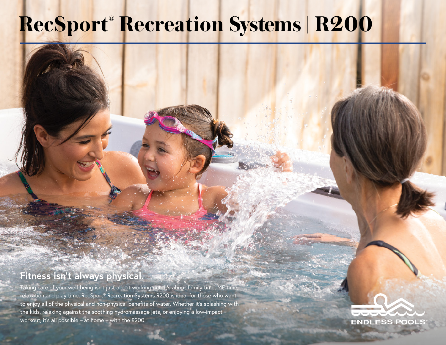## **RecSport® Recreation Systems | R200**

## **Fitness isn't always physical.**

Taking care of your well-being isn't just about working out. It's about family time, ME time, relaxation and play time. RecSport® Recreation Systems R200 is ideal for those who want to enjoy all of the physical and non-physical benefits of water. Whether it's splashing with the kids, relaxing against the soothing hydromassage jets, or enjoying a low-impact workout, it's all possible – at home – with the R200.